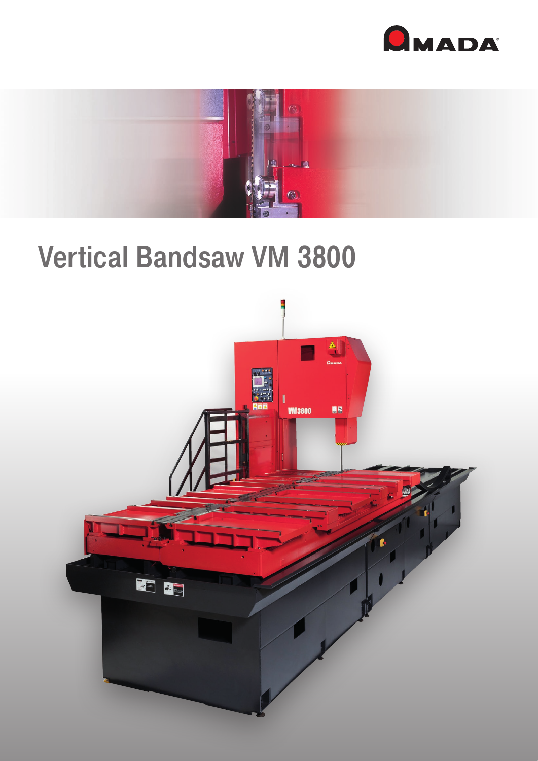



# Vertical Bandsaw VM 3800